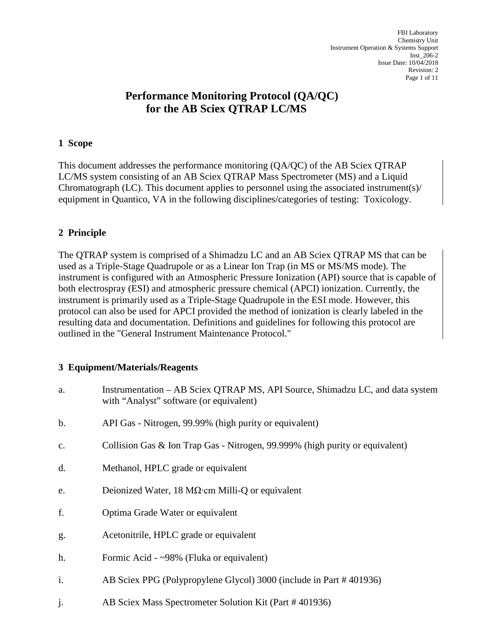# **Performance Monitoring Protocol (QA/QC) for the AB Sciex QTRAP LC/MS**

## **1 Scope**

This document addresses the performance monitoring (QA/QC) of the AB Sciex QTRAP LC/MS system consisting of an AB Sciex QTRAP Mass Spectrometer (MS) and a Liquid Chromatograph (LC). This document applies to personnel using the associated instrument(s)/ equipment in Quantico, VA in the following disciplines/categories of testing: Toxicology.

# **2 Principle**

The QTRAP system is comprised of a Shimadzu LC and an AB Sciex QTRAP MS that can be used as a Triple-Stage Quadrupole or as a Linear Ion Trap (in MS or MS/MS mode). The instrument is configured with an Atmospheric Pressure Ionization (API) source that is capable of both electrospray (ESI) and atmospheric pressure chemical (APCI) ionization. Currently, the instrument is primarily used as a Triple-Stage Quadrupole in the ESI mode. However, this protocol can also be used for APCI provided the method of ionization is clearly labeled in the resulting data and documentation. Definitions and guidelines for following this protocol are outlined in the "General Instrument Maintenance Protocol."

## **3 Equipment/Materials/Reagents**

| a. | Instrumentation – AB Sciex QTRAP MS, API Source, Shimadzu LC, and data system<br>with "Analyst" software (or equivalent) |
|----|--------------------------------------------------------------------------------------------------------------------------|
| b. | API Gas - Nitrogen, 99.99% (high purity or equivalent)                                                                   |
| c. | Collision Gas & Ion Trap Gas - Nitrogen, 99.999% (high purity or equivalent)                                             |
| d. | Methanol, HPLC grade or equivalent                                                                                       |
| e. | Deionized Water, 18 $M\Omega$ cm Milli-Q or equivalent                                                                   |
| f. | Optima Grade Water or equivalent                                                                                         |
| g. | Acetonitrile, HPLC grade or equivalent                                                                                   |
| h. | Formic Acid - ~98% (Fluka or equivalent)                                                                                 |
| i. | AB Sciex PPG (Polypropylene Glycol) 3000 (include in Part #401936)                                                       |

j. AB Sciex Mass Spectrometer Solution Kit (Part # 401936)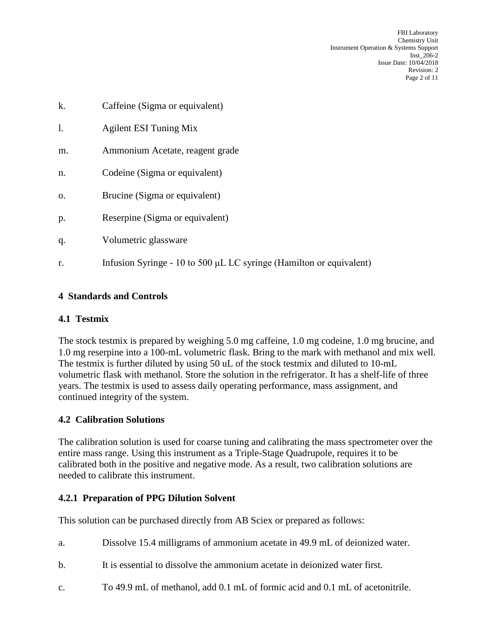FBI Laboratory Chemistry Unit Instrument Operation & Systems Support Inst\_206-2 Issue Date: 10/04/2018 Revision: 2 Page 2 of 11

k. Caffeine (Sigma or equivalent) l. Agilent ESI Tuning Mix m. Ammonium Acetate, reagent grade n. Codeine (Sigma or equivalent) o. Brucine (Sigma or equivalent) p. Reserpine (Sigma or equivalent) q. Volumetric glassware r. Infusion Syringe - 10 to 500 μL LC syringe (Hamilton or equivalent)

# **4 Standards and Controls**

# **4.1 Testmix**

The stock testmix is prepared by weighing 5.0 mg caffeine, 1.0 mg codeine, 1.0 mg brucine, and 1.0 mg reserpine into a 100-mL volumetric flask. Bring to the mark with methanol and mix well. The testmix is further diluted by using 50 uL of the stock testmix and diluted to 10-mL volumetric flask with methanol. Store the solution in the refrigerator. It has a shelf-life of three years. The testmix is used to assess daily operating performance, mass assignment, and continued integrity of the system.

# **4.2 Calibration Solutions**

The calibration solution is used for coarse tuning and calibrating the mass spectrometer over the entire mass range. Using this instrument as a Triple-Stage Quadrupole, requires it to be calibrated both in the positive and negative mode. As a result, two calibration solutions are needed to calibrate this instrument.

## **4.2.1 Preparation of PPG Dilution Solvent**

This solution can be purchased directly from AB Sciex or prepared as follows:

- a. Dissolve 15.4 milligrams of ammonium acetate in 49.9 mL of deionized water.
- b. It is essential to dissolve the ammonium acetate in deionized water first.
- c. To 49.9 mL of methanol, add 0.1 mL of formic acid and 0.1 mL of acetonitrile.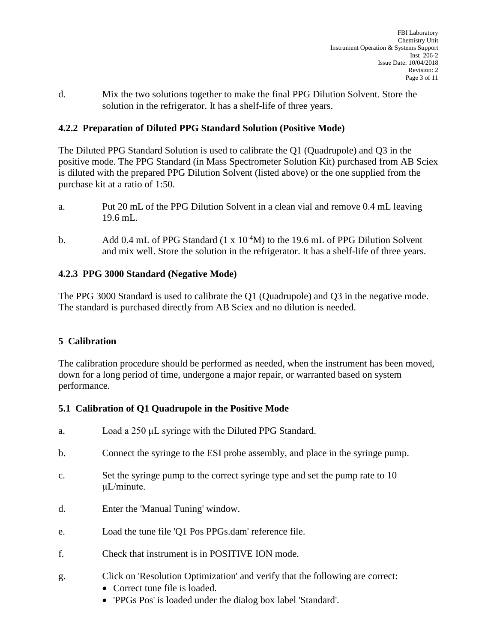d. Mix the two solutions together to make the final PPG Dilution Solvent. Store the solution in the refrigerator. It has a shelf-life of three years.

# **4.2.2 Preparation of Diluted PPG Standard Solution (Positive Mode)**

The Diluted PPG Standard Solution is used to calibrate the Q1 (Quadrupole) and Q3 in the positive mode. The PPG Standard (in Mass Spectrometer Solution Kit) purchased from AB Sciex is diluted with the prepared PPG Dilution Solvent (listed above) or the one supplied from the purchase kit at a ratio of 1:50.

- a. Put 20 mL of the PPG Dilution Solvent in a clean vial and remove 0.4 mL leaving 19.6 mL.
- b. Add 0.4 mL of PPG Standard  $(1 \times 10^{-4}M)$  to the 19.6 mL of PPG Dilution Solvent and mix well. Store the solution in the refrigerator. It has a shelf-life of three years.

## **4.2.3 PPG 3000 Standard (Negative Mode)**

The PPG 3000 Standard is used to calibrate the Q1 (Quadrupole) and Q3 in the negative mode. The standard is purchased directly from AB Sciex and no dilution is needed.

# **5 Calibration**

The calibration procedure should be performed as needed, when the instrument has been moved, down for a long period of time, undergone a major repair, or warranted based on system performance.

## **5.1 Calibration of Q1 Quadrupole in the Positive Mode**

- a. Load a 250 μL syringe with the Diluted PPG Standard.
- b. Connect the syringe to the ESI probe assembly, and place in the syringe pump.
- c. Set the syringe pump to the correct syringe type and set the pump rate to 10 μL/minute.
- d. Enter the 'Manual Tuning' window.
- e. Load the tune file 'Q1 Pos PPGs.dam' reference file.
- f. Check that instrument is in POSITIVE ION mode.
- g. Click on 'Resolution Optimization' and verify that the following are correct:
	- Correct tune file is loaded.
	- 'PPGs Pos' is loaded under the dialog box label 'Standard'.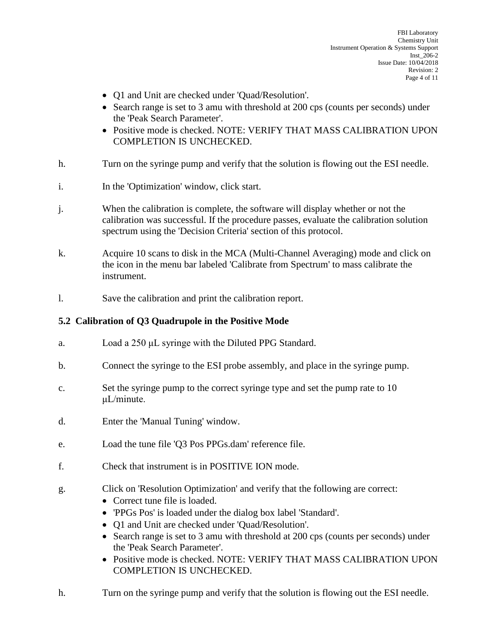- Q1 and Unit are checked under 'Quad/Resolution'.
- Search range is set to 3 amu with threshold at 200 cps (counts per seconds) under the 'Peak Search Parameter'.
- Positive mode is checked. NOTE: VERIFY THAT MASS CALIBRATION UPON COMPLETION IS UNCHECKED.
- h. Turn on the syringe pump and verify that the solution is flowing out the ESI needle.
- i. In the 'Optimization' window, click start.
- j. When the calibration is complete, the software will display whether or not the calibration was successful. If the procedure passes, evaluate the calibration solution spectrum using the 'Decision Criteria' section of this protocol.
- k. Acquire 10 scans to disk in the MCA (Multi-Channel Averaging) mode and click on the icon in the menu bar labeled 'Calibrate from Spectrum' to mass calibrate the instrument.
- l. Save the calibration and print the calibration report.

# **5.2 Calibration of Q3 Quadrupole in the Positive Mode**

- a. Load a 250 μL syringe with the Diluted PPG Standard.
- b. Connect the syringe to the ESI probe assembly, and place in the syringe pump.
- c. Set the syringe pump to the correct syringe type and set the pump rate to 10 μL/minute.
- d. Enter the 'Manual Tuning' window.
- e. Load the tune file 'Q3 Pos PPGs.dam' reference file.
- f. Check that instrument is in POSITIVE ION mode.
- g. Click on 'Resolution Optimization' and verify that the following are correct:
	- Correct tune file is loaded.
	- 'PPGs Pos' is loaded under the dialog box label 'Standard'.
	- Q1 and Unit are checked under 'Quad/Resolution'.
	- Search range is set to 3 amu with threshold at 200 cps (counts per seconds) under the 'Peak Search Parameter'.
	- Positive mode is checked. NOTE: VERIFY THAT MASS CALIBRATION UPON COMPLETION IS UNCHECKED.
- h. Turn on the syringe pump and verify that the solution is flowing out the ESI needle.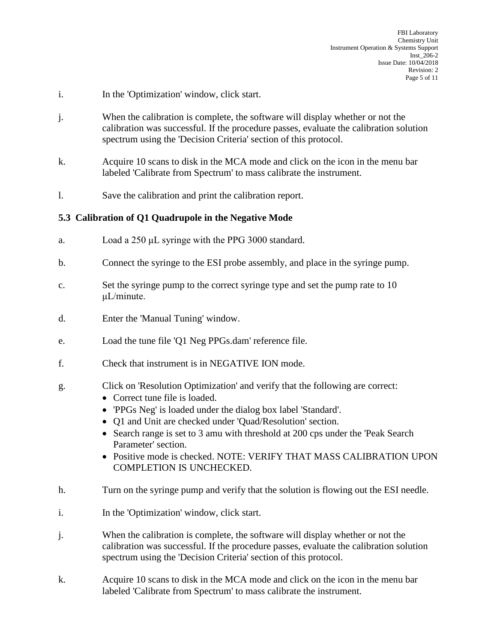- i. In the 'Optimization' window, click start.
- j. When the calibration is complete, the software will display whether or not the calibration was successful. If the procedure passes, evaluate the calibration solution spectrum using the 'Decision Criteria' section of this protocol.
- k. Acquire 10 scans to disk in the MCA mode and click on the icon in the menu bar labeled 'Calibrate from Spectrum' to mass calibrate the instrument.
- l. Save the calibration and print the calibration report.

# **5.3 Calibration of Q1 Quadrupole in the Negative Mode**

- a. Load a 250 μL syringe with the PPG 3000 standard.
- b. Connect the syringe to the ESI probe assembly, and place in the syringe pump.
- c. Set the syringe pump to the correct syringe type and set the pump rate to 10 μL/minute.
- d. Enter the 'Manual Tuning' window.
- e. Load the tune file 'Q1 Neg PPGs.dam' reference file.
- f. Check that instrument is in NEGATIVE ION mode.
- g. Click on 'Resolution Optimization' and verify that the following are correct:
	- Correct tune file is loaded.
	- 'PPGs Neg' is loaded under the dialog box label 'Standard'.
	- Q1 and Unit are checked under 'Quad/Resolution' section.
	- Search range is set to 3 amu with threshold at 200 cps under the 'Peak Search' Parameter' section.
	- Positive mode is checked. NOTE: VERIFY THAT MASS CALIBRATION UPON COMPLETION IS UNCHECKED.
- h. Turn on the syringe pump and verify that the solution is flowing out the ESI needle.
- i. In the 'Optimization' window, click start.
- j. When the calibration is complete, the software will display whether or not the calibration was successful. If the procedure passes, evaluate the calibration solution spectrum using the 'Decision Criteria' section of this protocol.
- k. Acquire 10 scans to disk in the MCA mode and click on the icon in the menu bar labeled 'Calibrate from Spectrum' to mass calibrate the instrument.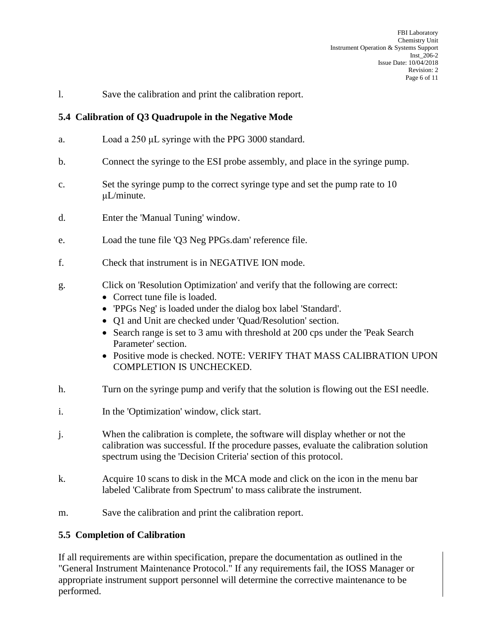l. Save the calibration and print the calibration report.

## **5.4 Calibration of Q3 Quadrupole in the Negative Mode**

- a. Load a 250 μL syringe with the PPG 3000 standard.
- b. Connect the syringe to the ESI probe assembly, and place in the syringe pump.
- c. Set the syringe pump to the correct syringe type and set the pump rate to 10 μL/minute.
- d. Enter the 'Manual Tuning' window.
- e. Load the tune file 'Q3 Neg PPGs.dam' reference file.
- f. Check that instrument is in NEGATIVE ION mode.
- g. Click on 'Resolution Optimization' and verify that the following are correct:
	- Correct tune file is loaded.
	- 'PPGs Neg' is loaded under the dialog box label 'Standard'.
	- Q1 and Unit are checked under 'Quad/Resolution' section.
	- Search range is set to 3 amu with threshold at 200 cps under the 'Peak Search' Parameter' section.
	- Positive mode is checked. NOTE: VERIFY THAT MASS CALIBRATION UPON COMPLETION IS UNCHECKED.
- h. Turn on the syringe pump and verify that the solution is flowing out the ESI needle.
- i. In the 'Optimization' window, click start.
- j. When the calibration is complete, the software will display whether or not the calibration was successful. If the procedure passes, evaluate the calibration solution spectrum using the 'Decision Criteria' section of this protocol.
- k. Acquire 10 scans to disk in the MCA mode and click on the icon in the menu bar labeled 'Calibrate from Spectrum' to mass calibrate the instrument.
- m. Save the calibration and print the calibration report.

#### **5.5 Completion of Calibration**

If all requirements are within specification, prepare the documentation as outlined in the "General Instrument Maintenance Protocol." If any requirements fail, the IOSS Manager or appropriate instrument support personnel will determine the corrective maintenance to be performed.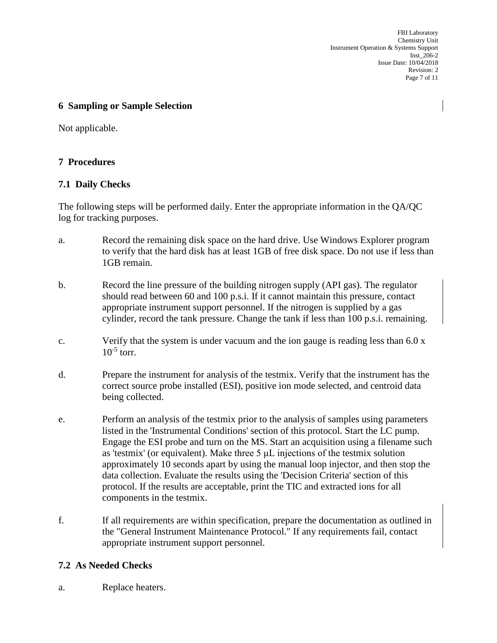FBI Laboratory Chemistry Unit Instrument Operation & Systems Support Inst\_206-2 Issue Date: 10/04/2018 Revision: 2 Page 7 of 11

#### **6 Sampling or Sample Selection**

Not applicable.

## **7 Procedures**

## **7.1 Daily Checks**

The following steps will be performed daily. Enter the appropriate information in the QA/QC log for tracking purposes.

- a. Record the remaining disk space on the hard drive. Use Windows Explorer program to verify that the hard disk has at least 1GB of free disk space. Do not use if less than 1GB remain.
- b. Record the line pressure of the building nitrogen supply (API gas). The regulator should read between 60 and 100 p.s.i. If it cannot maintain this pressure, contact appropriate instrument support personnel. If the nitrogen is supplied by a gas cylinder, record the tank pressure. Change the tank if less than 100 p.s.i. remaining.
- c. Verify that the system is under vacuum and the ion gauge is reading less than  $6.0 \text{ x}$  $10^{-5}$  torr.
- d. Prepare the instrument for analysis of the testmix. Verify that the instrument has the correct source probe installed (ESI), positive ion mode selected, and centroid data being collected.
- e. Perform an analysis of the testmix prior to the analysis of samples using parameters listed in the 'Instrumental Conditions' section of this protocol. Start the LC pump. Engage the ESI probe and turn on the MS. Start an acquisition using a filename such as 'testmix' (or equivalent). Make three 5 μL injections of the testmix solution approximately 10 seconds apart by using the manual loop injector, and then stop the data collection. Evaluate the results using the 'Decision Criteria' section of this protocol. If the results are acceptable, print the TIC and extracted ions for all components in the testmix.
- f. If all requirements are within specification, prepare the documentation as outlined in the "General Instrument Maintenance Protocol." If any requirements fail, contact appropriate instrument support personnel.

# **7.2 As Needed Checks**

a. Replace heaters.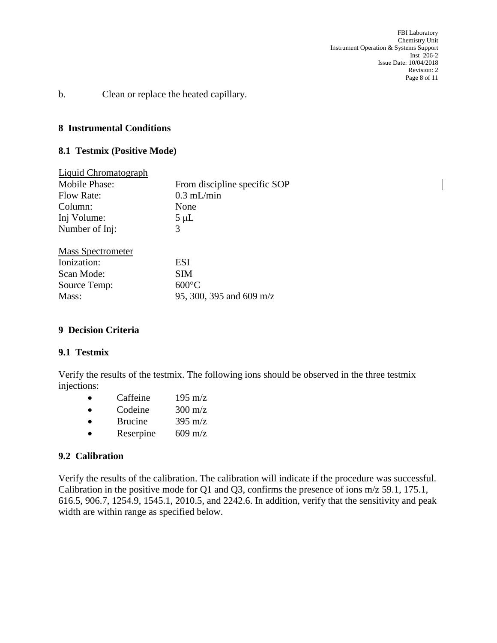FBI Laboratory Chemistry Unit Instrument Operation & Systems Support Inst\_206-2 Issue Date: 10/04/2018 Revision: 2 Page 8 of 11

b. Clean or replace the heated capillary.

#### **8 Instrumental Conditions**

#### **8.1 Testmix (Positive Mode)**

| <b>Liquid Chromatograph</b> |                              |
|-----------------------------|------------------------------|
| Mobile Phase:               | From discipline specific SOP |
| Flow Rate:                  | $0.3$ mL/min                 |
| Column:                     | None                         |
| Inj Volume:                 | $5 \mu L$                    |
| Number of Inj:              | 3                            |
| <b>Mass Spectrometer</b>    |                              |
| Ionization:                 | ESI                          |
| Scan Mode:                  | SIM                          |
| Source Temp:                | $600^{\circ}$ C              |
| Mass:                       | 95, 300, 395 and 609 m/z     |
|                             |                              |

#### **9 Decision Criteria**

#### **9.1 Testmix**

Verify the results of the testmix. The following ions should be observed in the three testmix injections:

|           | Caffeine       | $195 \text{ m/z}$ |
|-----------|----------------|-------------------|
| $\bullet$ | Codeine        | $300 \text{ m/z}$ |
| $\bullet$ | <b>Brucine</b> | 395 m/z           |
| $\bullet$ | Reserpine      | $609 \text{ m/z}$ |

#### **9.2 Calibration**

Verify the results of the calibration. The calibration will indicate if the procedure was successful. Calibration in the positive mode for Q1 and Q3, confirms the presence of ions m/z 59.1, 175.1, 616.5, 906.7, 1254.9, 1545.1, 2010.5, and 2242.6. In addition, verify that the sensitivity and peak width are within range as specified below.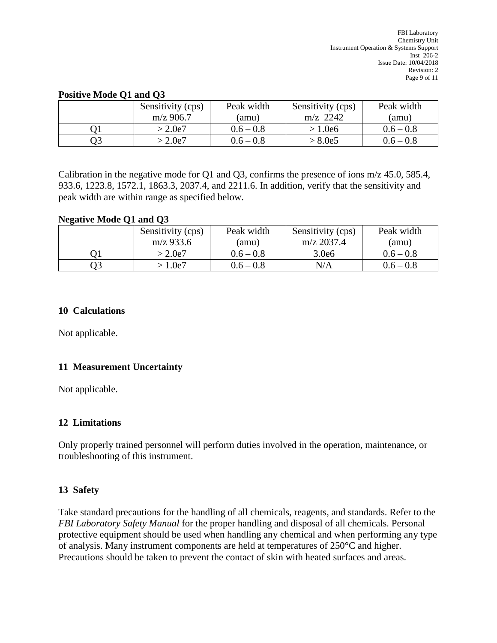#### **Positive Mode Q1 and Q3**

| Sensitivity (cps) | Peak width  | Sensitivity (cps) | Peak width  |
|-------------------|-------------|-------------------|-------------|
| $m/z$ 906.7       | (amu)       | $m/z$ 2242        | (amu)       |
| $>2.0$ e $7$      | $0.6 - 0.8$ | > 1.0e6           | $0.6 - 0.8$ |
| > 2.0e7           | $0.6 - 0.8$ | > 8.0e5           | $0.6 - 0.8$ |

Calibration in the negative mode for Q1 and Q3, confirms the presence of ions m/z 45.0, 585.4, 933.6, 1223.8, 1572.1, 1863.3, 2037.4, and 2211.6. In addition, verify that the sensitivity and peak width are within range as specified below.

#### **Negative Mode Q1 and Q3**

| Sensitivity (cps) | Peak width  | Sensitivity (cps) | Peak width  |
|-------------------|-------------|-------------------|-------------|
| $m/z$ 933.6       | (amu)       | $m/z$ 2037.4      | (amu)       |
| > 2.0e7           | $0.6 - 0.8$ | 3.0e6             | $0.6 - 0.8$ |
| 1.0e7             | $0.6 - 0.8$ | N/A               | $0.6 - 0.8$ |

#### **10 Calculations**

Not applicable.

## **11 Measurement Uncertainty**

Not applicable.

## **12 Limitations**

Only properly trained personnel will perform duties involved in the operation, maintenance, or troubleshooting of this instrument.

## **13 Safety**

Take standard precautions for the handling of all chemicals, reagents, and standards. Refer to the *FBI Laboratory Safety Manual* for the proper handling and disposal of all chemicals. Personal protective equipment should be used when handling any chemical and when performing any type of analysis. Many instrument components are held at temperatures of 250°C and higher. Precautions should be taken to prevent the contact of skin with heated surfaces and areas.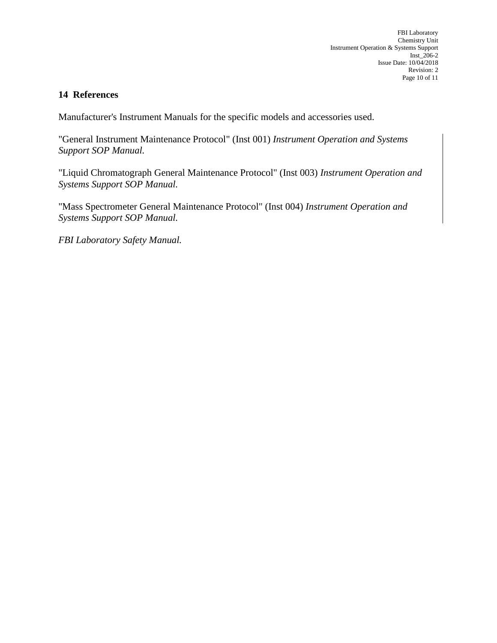## **14 References**

Manufacturer's Instrument Manuals for the specific models and accessories used.

"General Instrument Maintenance Protocol" (Inst 001) *Instrument Operation and Systems Support SOP Manual.*

"Liquid Chromatograph General Maintenance Protocol" (Inst 003) *Instrument Operation and Systems Support SOP Manual.*

"Mass Spectrometer General Maintenance Protocol" (Inst 004) *Instrument Operation and Systems Support SOP Manual.*

*FBI Laboratory Safety Manual.*